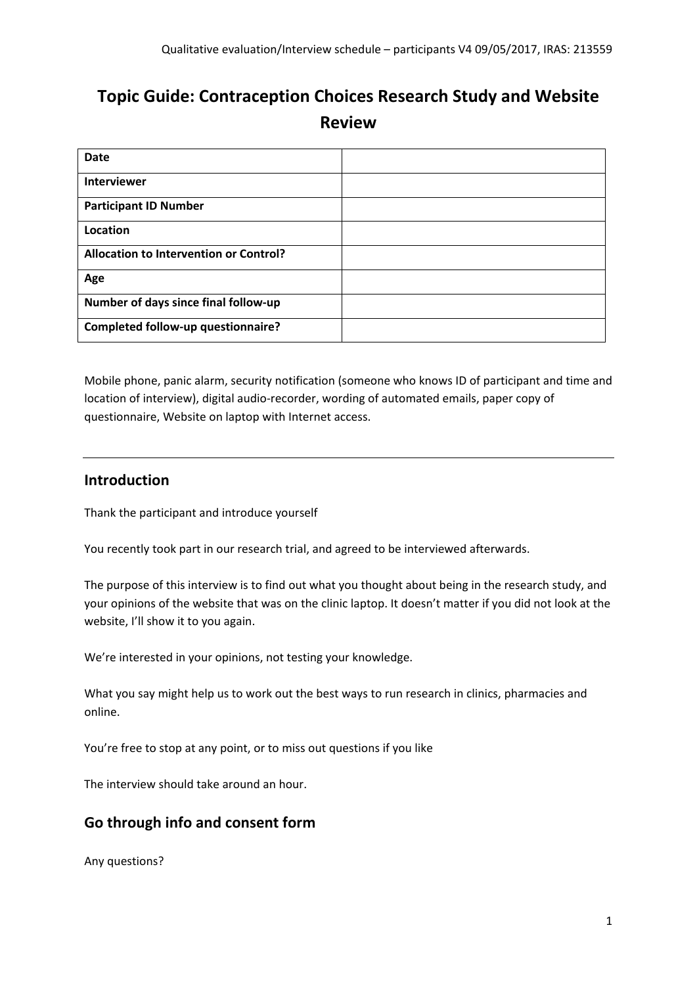# **Topic Guide: Contraception Choices Research Study and Website Review**

| <b>Date</b>                                   |  |
|-----------------------------------------------|--|
| <b>Interviewer</b>                            |  |
| <b>Participant ID Number</b>                  |  |
| Location                                      |  |
| <b>Allocation to Intervention or Control?</b> |  |
| Age                                           |  |
| Number of days since final follow-up          |  |
| Completed follow-up questionnaire?            |  |

Mobile phone, panic alarm, security notification (someone who knows ID of participant and time and location of interview), digital audio-recorder, wording of automated emails, paper copy of questionnaire, Website on laptop with Internet access.

# **Introduction**

Thank the participant and introduce yourself

You recently took part in our research trial, and agreed to be interviewed afterwards.

The purpose of this interview is to find out what you thought about being in the research study, and your opinions of the website that was on the clinic laptop. It doesn't matter if you did not look at the website, I'll show it to you again.

We're interested in your opinions, not testing your knowledge.

What you say might help us to work out the best ways to run research in clinics, pharmacies and online.

You're free to stop at any point, or to miss out questions if you like

The interview should take around an hour.

# **Go through info and consent form**

Any questions?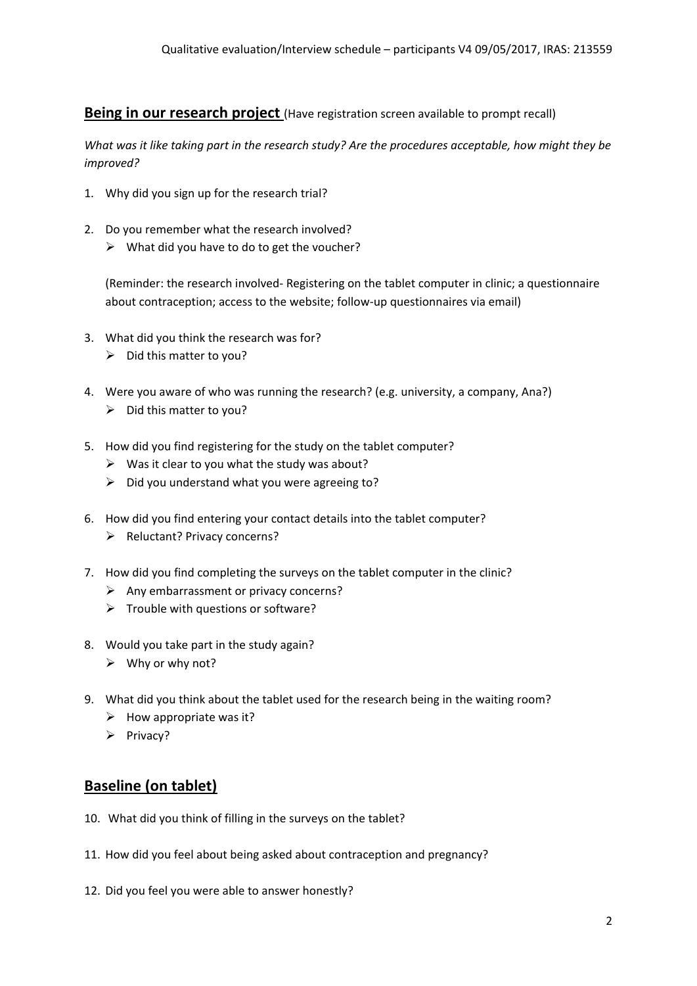#### **Being in our research project** (Have registration screen available to prompt recall)

*What was it like taking part in the research study? Are the procedures acceptable, how might they be improved?*

- 1. Why did you sign up for the research trial?
- 2. Do you remember what the research involved?
	- $\triangleright$  What did you have to do to get the voucher?

(Reminder: the research involved- Registering on the tablet computer in clinic; a questionnaire about contraception; access to the website; follow-up questionnaires via email)

- 3. What did you think the research was for?
	- $\triangleright$  Did this matter to you?
- 4. Were you aware of who was running the research? (e.g. university, a company, Ana?)  $\triangleright$  Did this matter to you?
- 5. How did you find registering for the study on the tablet computer?
	- $\triangleright$  Was it clear to you what the study was about?
	- $\triangleright$  Did you understand what you were agreeing to?
- 6. How did you find entering your contact details into the tablet computer?
	- $\triangleright$  Reluctant? Privacy concerns?
- 7. How did you find completing the surveys on the tablet computer in the clinic?
	- $\triangleright$  Any embarrassment or privacy concerns?
	- $\triangleright$  Trouble with questions or software?
- 8. Would you take part in the study again?
	- $\triangleright$  Why or why not?
- 9. What did you think about the tablet used for the research being in the waiting room?
	- $\triangleright$  How appropriate was it?
	- $\triangleright$  Privacy?

# **Baseline (on tablet)**

- 10. What did you think of filling in the surveys on the tablet?
- 11. How did you feel about being asked about contraception and pregnancy?
- 12. Did you feel you were able to answer honestly?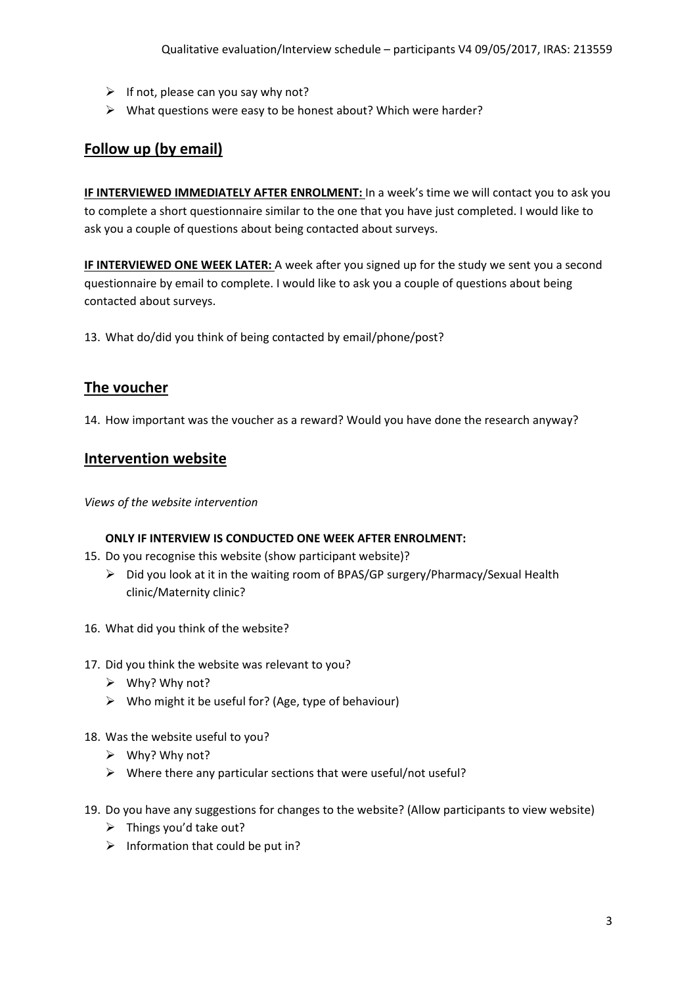- $\triangleright$  If not, please can you say why not?
- $\triangleright$  What questions were easy to be honest about? Which were harder?

# **Follow up (by email)**

**IF INTERVIEWED IMMEDIATELY AFTER ENROLMENT:** In a week's time we will contact you to ask you to complete a short questionnaire similar to the one that you have just completed. I would like to ask you a couple of questions about being contacted about surveys.

**IF INTERVIEWED ONE WEEK LATER:** A week after you signed up for the study we sent you a second questionnaire by email to complete. I would like to ask you a couple of questions about being contacted about surveys.

13. What do/did you think of being contacted by email/phone/post?

## **The voucher**

14. How important was the voucher as a reward? Would you have done the research anyway?

### **Intervention website**

*Views of the website intervention*

#### **ONLY IF INTERVIEW IS CONDUCTED ONE WEEK AFTER ENROLMENT:**

- 15. Do you recognise this website (show participant website)?
	- $\triangleright$  Did you look at it in the waiting room of BPAS/GP surgery/Pharmacy/Sexual Health clinic/Maternity clinic?
- 16. What did you think of the website?
- 17. Did you think the website was relevant to you?
	- $\triangleright$  Why? Why not?
	- $\triangleright$  Who might it be useful for? (Age, type of behaviour)
- 18. Was the website useful to you?
	- $\triangleright$  Why? Why not?
	- $\triangleright$  Where there any particular sections that were useful/not useful?
- 19. Do you have any suggestions for changes to the website? (Allow participants to view website)
	- $\triangleright$  Things you'd take out?
	- $\triangleright$  Information that could be put in?